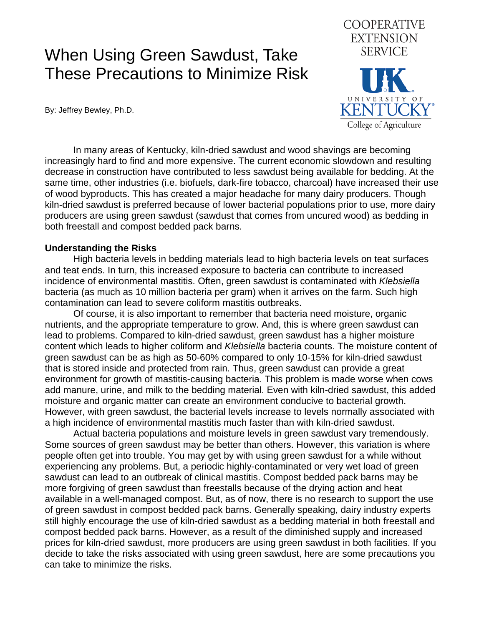# When Using Green Sawdust, Take These Precautions to Minimize Risk

By: Jeffrey Bewley, Ph.D.



 In many areas of Kentucky, kiln-dried sawdust and wood shavings are becoming increasingly hard to find and more expensive. The current economic slowdown and resulting decrease in construction have contributed to less sawdust being available for bedding. At the same time, other industries (i.e. biofuels, dark-fire tobacco, charcoal) have increased their use of wood byproducts. This has created a major headache for many dairy producers. Though kiln-dried sawdust is preferred because of lower bacterial populations prior to use, more dairy producers are using green sawdust (sawdust that comes from uncured wood) as bedding in both freestall and compost bedded pack barns.

#### **Understanding the Risks**

 High bacteria levels in bedding materials lead to high bacteria levels on teat surfaces and teat ends. In turn, this increased exposure to bacteria can contribute to increased incidence of environmental mastitis. Often, green sawdust is contaminated with *Klebsiella*  bacteria (as much as 10 million bacteria per gram) when it arrives on the farm. Such high contamination can lead to severe coliform mastitis outbreaks.

 Of course, it is also important to remember that bacteria need moisture, organic nutrients, and the appropriate temperature to grow. And, this is where green sawdust can lead to problems. Compared to kiln-dried sawdust, green sawdust has a higher moisture content which leads to higher coliform and *Klebsiella* bacteria counts. The moisture content of green sawdust can be as high as 50-60% compared to only 10-15% for kiln-dried sawdust that is stored inside and protected from rain. Thus, green sawdust can provide a great environment for growth of mastitis-causing bacteria. This problem is made worse when cows add manure, urine, and milk to the bedding material. Even with kiln-dried sawdust, this added moisture and organic matter can create an environment conducive to bacterial growth. However, with green sawdust, the bacterial levels increase to levels normally associated with a high incidence of environmental mastitis much faster than with kiln-dried sawdust.

 Actual bacteria populations and moisture levels in green sawdust vary tremendously. Some sources of green sawdust may be better than others. However, this variation is where people often get into trouble. You may get by with using green sawdust for a while without experiencing any problems. But, a periodic highly-contaminated or very wet load of green sawdust can lead to an outbreak of clinical mastitis. Compost bedded pack barns may be more forgiving of green sawdust than freestalls because of the drying action and heat available in a well-managed compost. But, as of now, there is no research to support the use of green sawdust in compost bedded pack barns. Generally speaking, dairy industry experts still highly encourage the use of kiln-dried sawdust as a bedding material in both freestall and compost bedded pack barns. However, as a result of the diminished supply and increased prices for kiln-dried sawdust, more producers are using green sawdust in both facilities. If you decide to take the risks associated with using green sawdust, here are some precautions you can take to minimize the risks.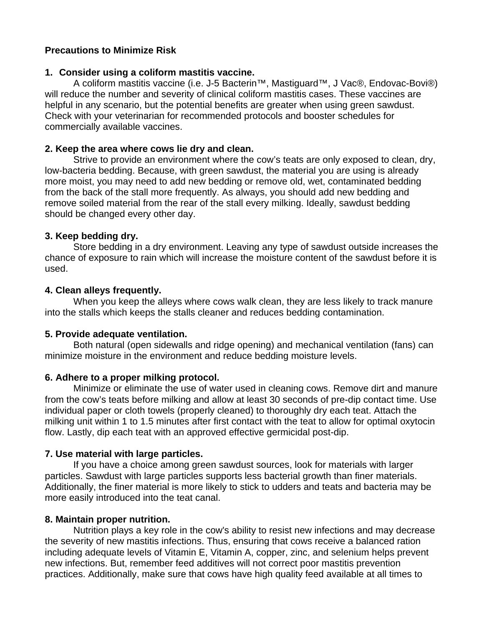# **Precautions to Minimize Risk**

#### **1. Consider using a coliform mastitis vaccine.**

A coliform mastitis vaccine (i.e. J-5 Bacterin™, Mastiguard™, J Vac®, Endovac-Bovi®) will reduce the number and severity of clinical coliform mastitis cases. These vaccines are helpful in any scenario, but the potential benefits are greater when using green sawdust. Check with your veterinarian for recommended protocols and booster schedules for commercially available vaccines.

## **2. Keep the area where cows lie dry and clean.**

Strive to provide an environment where the cow's teats are only exposed to clean, dry, low-bacteria bedding. Because, with green sawdust, the material you are using is already more moist, you may need to add new bedding or remove old, wet, contaminated bedding from the back of the stall more frequently. As always, you should add new bedding and remove soiled material from the rear of the stall every milking. Ideally, sawdust bedding should be changed every other day.

#### **3. Keep bedding dry.**

Store bedding in a dry environment. Leaving any type of sawdust outside increases the chance of exposure to rain which will increase the moisture content of the sawdust before it is used.

#### **4. Clean alleys frequently.**

When you keep the alleys where cows walk clean, they are less likely to track manure into the stalls which keeps the stalls cleaner and reduces bedding contamination.

# **5. Provide adequate ventilation.**

Both natural (open sidewalls and ridge opening) and mechanical ventilation (fans) can minimize moisture in the environment and reduce bedding moisture levels.

# **6. Adhere to a proper milking protocol.**

Minimize or eliminate the use of water used in cleaning cows. Remove dirt and manure from the cow's teats before milking and allow at least 30 seconds of pre-dip contact time. Use individual paper or cloth towels (properly cleaned) to thoroughly dry each teat. Attach the milking unit within 1 to 1.5 minutes after first contact with the teat to allow for optimal oxytocin flow. Lastly, dip each teat with an approved effective germicidal post-dip.

# **7. Use material with large particles.**

If you have a choice among green sawdust sources, look for materials with larger particles. Sawdust with large particles supports less bacterial growth than finer materials. Additionally, the finer material is more likely to stick to udders and teats and bacteria may be more easily introduced into the teat canal.

# **8. Maintain proper nutrition.**

Nutrition plays a key role in the cow's ability to resist new infections and may decrease the severity of new mastitis infections. Thus, ensuring that cows receive a balanced ration including adequate levels of Vitamin E, Vitamin A, copper, zinc, and selenium helps prevent new infections. But, remember feed additives will not correct poor mastitis prevention practices. Additionally, make sure that cows have high quality feed available at all times to